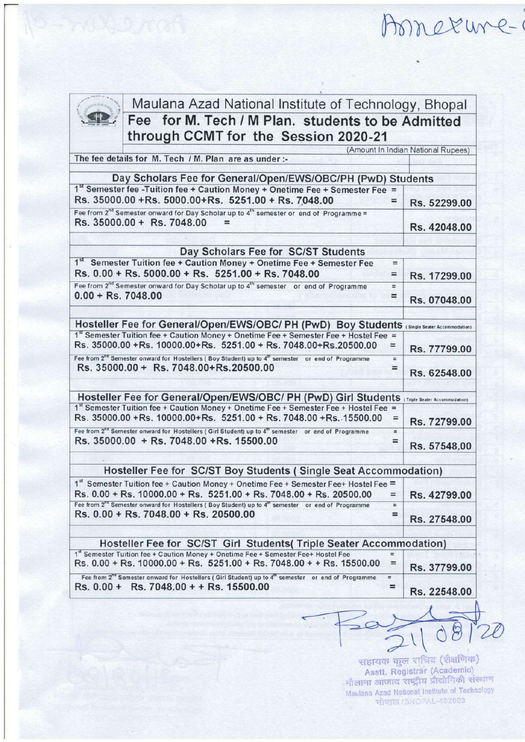Amerune-1

(



Maulana Azad National lnstitute of Technology, Bhopal Fee for M. Tech / M Plan. students to be Admitted through CCMT for the Session 2020-21

(Amount In Indian National Rupees) The fee details for M. Tech / M. Plan are as under:-

| 1st Semester fee - Tuition fee + Caution Money + Onetime Fee + Semester Fee =<br>Rs. 35000.00 +Rs. 5000.00+Rs. 5251.00 + Rs. 7048.00                                                                                                                                                                                                                                                                                                                                                                                                                                                                                   | $=$                  | Rs. 52299.00                                                                                 |
|------------------------------------------------------------------------------------------------------------------------------------------------------------------------------------------------------------------------------------------------------------------------------------------------------------------------------------------------------------------------------------------------------------------------------------------------------------------------------------------------------------------------------------------------------------------------------------------------------------------------|----------------------|----------------------------------------------------------------------------------------------|
| Fee from $2^{nd}$ Semester onward for Day Scholar up to $4^{th}$ semester or end of Programme =<br>Rs. 35000.00 + Rs. 7048.00<br>$=$                                                                                                                                                                                                                                                                                                                                                                                                                                                                                   |                      | Rs. 42048.00                                                                                 |
|                                                                                                                                                                                                                                                                                                                                                                                                                                                                                                                                                                                                                        |                      |                                                                                              |
| Day Scholars Fee for SC/ST Students                                                                                                                                                                                                                                                                                                                                                                                                                                                                                                                                                                                    |                      |                                                                                              |
| 1st Semester Tuition fee + Caution Money + Onetime Fee + Semester Fee                                                                                                                                                                                                                                                                                                                                                                                                                                                                                                                                                  | $=$                  |                                                                                              |
| Rs. 0.00 + Rs. 5000.00 + Rs. 5251.00 + Rs. 7048.00                                                                                                                                                                                                                                                                                                                                                                                                                                                                                                                                                                     | $=$                  | Rs. 17299.00                                                                                 |
| Fee from 2 <sup>nd</sup> Semester onward for Day Scholar up to 4 <sup>th</sup> semester or end of Programme                                                                                                                                                                                                                                                                                                                                                                                                                                                                                                            | $=$                  |                                                                                              |
| $0.00 + Rs.7048.00$                                                                                                                                                                                                                                                                                                                                                                                                                                                                                                                                                                                                    | $=$                  | Rs. 07048.00                                                                                 |
| Hosteller Fee for General/Open/EWS/OBC/ PH (PwD) Boy Students (Single Seater Accommodation)                                                                                                                                                                                                                                                                                                                                                                                                                                                                                                                            |                      |                                                                                              |
| 1st Semester Tuition fee + Caution Money + Onetime Fee + Semester Fee + Hostel Fee =                                                                                                                                                                                                                                                                                                                                                                                                                                                                                                                                   |                      |                                                                                              |
| Rs. 35000.00 +Rs. 10000.00+Rs. 5251.00 + Rs. 7048.00+Rs.20500.00                                                                                                                                                                                                                                                                                                                                                                                                                                                                                                                                                       | $=$                  | Rs. 77799.00                                                                                 |
| Fee from 2 <sup>na</sup> Semester onward for Hostellers (Boy Student) up to 4 <sup>th</sup> semester or end of Programme<br>Rs. 35000.00 + Rs. 7048.00+Rs.20500.00                                                                                                                                                                                                                                                                                                                                                                                                                                                     | $=$<br>$=$           | Rs. 62548.00                                                                                 |
|                                                                                                                                                                                                                                                                                                                                                                                                                                                                                                                                                                                                                        |                      | Hosteller Fee for General/Open/EWS/OBC/ PH (PwD) Girl Students (Triple Seater Accommodation) |
|                                                                                                                                                                                                                                                                                                                                                                                                                                                                                                                                                                                                                        | $\equiv$<br>$\equiv$ |                                                                                              |
| 1st Semester Tuition fee + Caution Money + Onetime Fee + Semester Fee + Hostel Fee =<br>Rs. 35000.00 +Rs. 10000.00+Rs. 5251.00 + Rs. 7048.00 +Rs. 15500.00<br>Fee from 2 <sup>nd</sup> Semester onward for Hostellers (Girl Student) up to 4 <sup>m</sup> semester or end of Programme<br>Rs. 35000.00 + Rs. 7048.00 + Rs. 15500.00                                                                                                                                                                                                                                                                                    | =                    | Rs. 72799.00<br>Rs. 57548.00                                                                 |
| Hosteller Fee for SC/ST Boy Students (Single Seat Accommodation)                                                                                                                                                                                                                                                                                                                                                                                                                                                                                                                                                       |                      |                                                                                              |
|                                                                                                                                                                                                                                                                                                                                                                                                                                                                                                                                                                                                                        |                      |                                                                                              |
|                                                                                                                                                                                                                                                                                                                                                                                                                                                                                                                                                                                                                        | $=$                  |                                                                                              |
|                                                                                                                                                                                                                                                                                                                                                                                                                                                                                                                                                                                                                        | $\equiv$<br>$=$      |                                                                                              |
|                                                                                                                                                                                                                                                                                                                                                                                                                                                                                                                                                                                                                        |                      | Rs. 42799.00<br>Rs. 27548.00                                                                 |
| Hosteller Fee for SC/ST Girl Students (Triple Seater Accommodation)                                                                                                                                                                                                                                                                                                                                                                                                                                                                                                                                                    | $=$                  |                                                                                              |
| 1st Semester Tuition fee + Caution Money + Onetime Fee + Semester Fee+ Hostel Fee =<br>Rs. 0.00 + Rs. 10000.00 + Rs. 5251.00 + Rs. 7048.00 + Rs. 20500.00<br>Fee from 2 <sup>nd</sup> Semester onward for Hostellers (Boy Student) up to 4 <sup>m</sup> semester or end of Programme<br>Rs. 0.00 + Rs. 7048.00 + Rs. 20500.00<br>1st Semester Tuition fee + Caution Money + Onetime Fee + Semester Fee+ Hostel Fee<br>Rs. 0.00 + Rs. 10000.00 + Rs. 5251.00 + Rs. 7048.00 + + Rs. 15500.00<br>Fee from 2 <sup>nd</sup> Semester onward for Hostellers (Girl Student) up to 4 <sup>m</sup> semester or end of Programme | $=$                  | Rs. 37799.00                                                                                 |

सहायक कुल राचिव (शैक्षणिक) Asstt. Registrar (Academic) Assit. Registrar (Academic)<br>मौलाना आजाद राष्ट्रीय प्रौद्योगिकी संस्थान Maulana Azad National Institute of Technology

 $\sqrt{108}$ 

 $20$